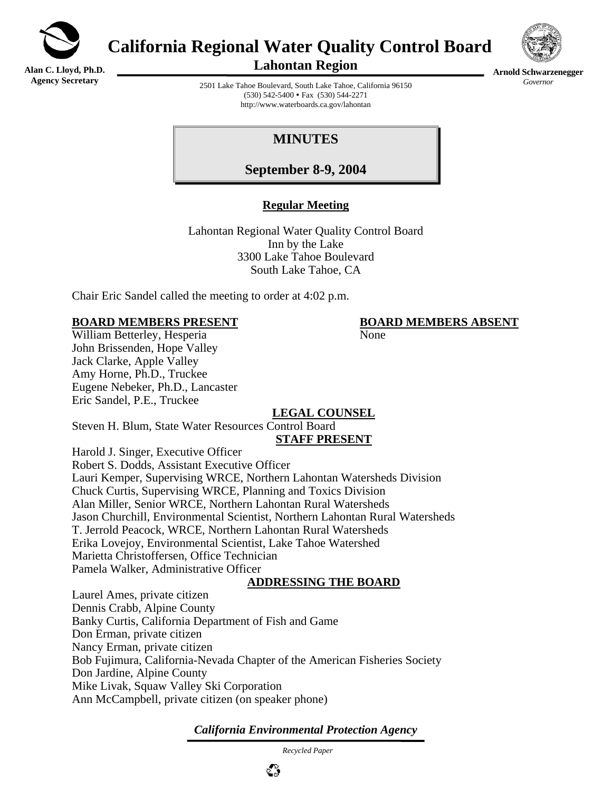

**Alan C. Lloyd, Ph.D. Agency Secretary**

**California Regional Water Quality Control Board** 



**Lahontan Region** 

**Arnold Schwarzenegger** *Governor* 

2501 Lake Tahoe Boulevard, South Lake Tahoe, California 96150 (530) 542-5400 • Fax (530) 544-2271 http://www.waterboards.ca.gov/lahontan

# **MINUTES**

**September 8-9, 2004**

## **Regular Meeting**

Lahontan Regional Water Quality Control Board Inn by the Lake 3300 Lake Tahoe Boulevard South Lake Tahoe, CA

Chair Eric Sandel called the meeting to order at 4:02 p.m.

## **BOARD MEMBERS PRESENT BOARD MEMBERS ABSENT**

William Betterley, Hesperia None John Brissenden, Hope Valley Jack Clarke, Apple Valley Amy Horne, Ph.D., Truckee Eugene Nebeker, Ph.D., Lancaster Eric Sandel, P.E., Truckee

# **LEGAL COUNSEL**

Steven H. Blum, State Water Resources Control Board

#### **STAFF PRESENT**

Harold J. Singer, Executive Officer

Robert S. Dodds, Assistant Executive Officer Lauri Kemper, Supervising WRCE, Northern Lahontan Watersheds Division Chuck Curtis, Supervising WRCE, Planning and Toxics Division Alan Miller, Senior WRCE, Northern Lahontan Rural Watersheds Jason Churchill, Environmental Scientist, Northern Lahontan Rural Watersheds T. Jerrold Peacock, WRCE, Northern Lahontan Rural Watersheds Erika Lovejoy, Environmental Scientist, Lake Tahoe Watershed Marietta Christoffersen, Office Technician Pamela Walker, Administrative Officer

## **ADDRESSING THE BOARD**

Laurel Ames, private citizen Dennis Crabb, Alpine County Banky Curtis, California Department of Fish and Game Don Erman, private citizen Nancy Erman, private citizen Bob Fujimura, California-Nevada Chapter of the American Fisheries Society Don Jardine, Alpine County Mike Livak, Squaw Valley Ski Corporation Ann McCampbell, private citizen (on speaker phone)

## *California Environmental Protection Agency*

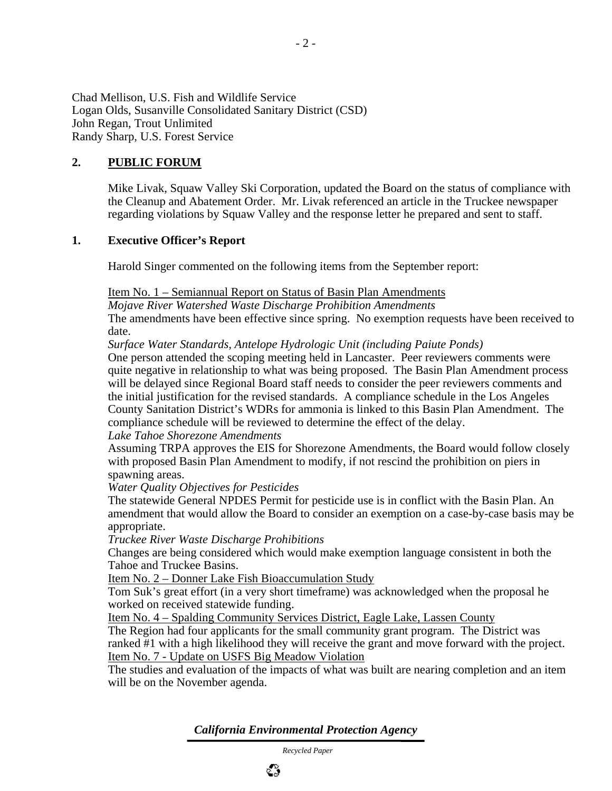Chad Mellison, U.S. Fish and Wildlife Service Logan Olds, Susanville Consolidated Sanitary District (CSD) John Regan, Trout Unlimited Randy Sharp, U.S. Forest Service

## **2. PUBLIC FORUM**

Mike Livak, Squaw Valley Ski Corporation, updated the Board on the status of compliance with the Cleanup and Abatement Order. Mr. Livak referenced an article in the Truckee newspaper regarding violations by Squaw Valley and the response letter he prepared and sent to staff.

#### **1. Executive Officer's Report**

Harold Singer commented on the following items from the September report:

#### Item No. 1 – Semiannual Report on Status of Basin Plan Amendments

*Mojave River Watershed Waste Discharge Prohibition Amendments*  The amendments have been effective since spring. No exemption requests have been received to date.

*Surface Water Standards, Antelope Hydrologic Unit (including Paiute Ponds)*

One person attended the scoping meeting held in Lancaster. Peer reviewers comments were quite negative in relationship to what was being proposed. The Basin Plan Amendment process will be delayed since Regional Board staff needs to consider the peer reviewers comments and the initial justification for the revised standards. A compliance schedule in the Los Angeles County Sanitation District's WDRs for ammonia is linked to this Basin Plan Amendment. The compliance schedule will be reviewed to determine the effect of the delay.

#### *Lake Tahoe Shorezone Amendments*

Assuming TRPA approves the EIS for Shorezone Amendments, the Board would follow closely with proposed Basin Plan Amendment to modify, if not rescind the prohibition on piers in spawning areas.

#### *Water Quality Objectives for Pesticides*

The statewide General NPDES Permit for pesticide use is in conflict with the Basin Plan. An amendment that would allow the Board to consider an exemption on a case-by-case basis may be appropriate.

#### *Truckee River Waste Discharge Prohibitions*

Changes are being considered which would make exemption language consistent in both the Tahoe and Truckee Basins.

Item No. 2 – Donner Lake Fish Bioaccumulation Study

Tom Suk's great effort (in a very short timeframe) was acknowledged when the proposal he worked on received statewide funding.

Item No. 4 – Spalding Community Services District, Eagle Lake, Lassen County

The Region had four applicants for the small community grant program. The District was ranked #1 with a high likelihood they will receive the grant and move forward with the project. Item No. 7 - Update on USFS Big Meadow Violation

The studies and evaluation of the impacts of what was built are nearing completion and an item will be on the November agenda.

*California Environmental Protection Agency*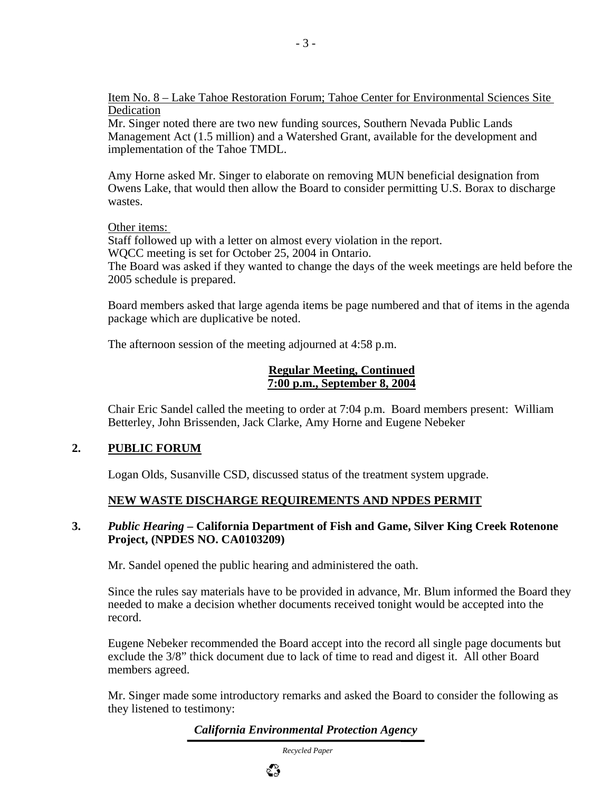Item No. 8 – Lake Tahoe Restoration Forum; Tahoe Center for Environmental Sciences Site Dedication

Mr. Singer noted there are two new funding sources, Southern Nevada Public Lands Management Act (1.5 million) and a Watershed Grant, available for the development and implementation of the Tahoe TMDL.

Amy Horne asked Mr. Singer to elaborate on removing MUN beneficial designation from Owens Lake, that would then allow the Board to consider permitting U.S. Borax to discharge wastes.

Other items:

Staff followed up with a letter on almost every violation in the report.

WQCC meeting is set for October 25, 2004 in Ontario.

The Board was asked if they wanted to change the days of the week meetings are held before the 2005 schedule is prepared.

Board members asked that large agenda items be page numbered and that of items in the agenda package which are duplicative be noted.

The afternoon session of the meeting adjourned at 4:58 p.m.

#### **Regular Meeting, Continued 7:00 p.m., September 8, 2004**

Chair Eric Sandel called the meeting to order at 7:04 p.m. Board members present: William Betterley, John Brissenden, Jack Clarke, Amy Horne and Eugene Nebeker

## **2. PUBLIC FORUM**

Logan Olds, Susanville CSD, discussed status of the treatment system upgrade.

## **NEW WASTE DISCHARGE REQUIREMENTS AND NPDES PERMIT**

#### **3.** *Public Hearing* **– California Department of Fish and Game, Silver King Creek Rotenone Project, (NPDES NO. CA0103209)**

Mr. Sandel opened the public hearing and administered the oath.

Since the rules say materials have to be provided in advance, Mr. Blum informed the Board they needed to make a decision whether documents received tonight would be accepted into the record.

Eugene Nebeker recommended the Board accept into the record all single page documents but exclude the 3/8" thick document due to lack of time to read and digest it. All other Board members agreed.

Mr. Singer made some introductory remarks and asked the Board to consider the following as they listened to testimony:

## *California Environmental Protection Agency*

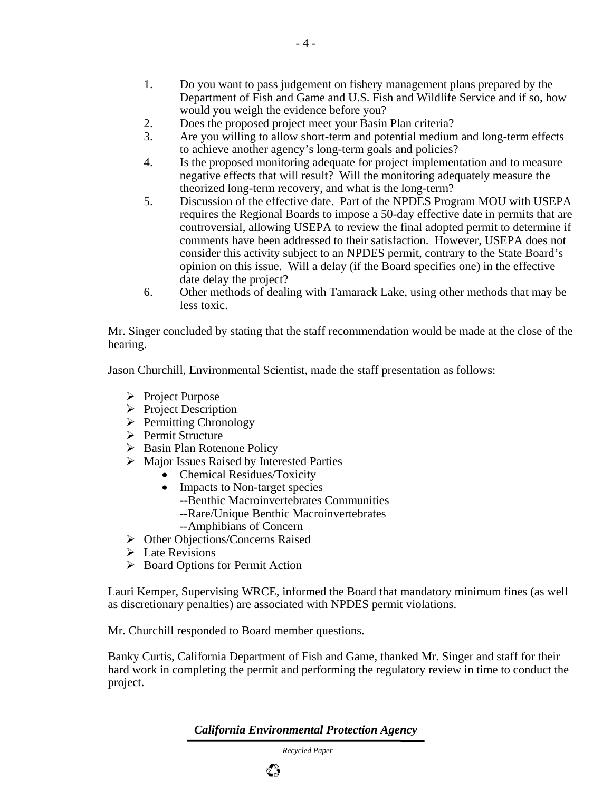- 1. Do you want to pass judgement on fishery management plans prepared by the Department of Fish and Game and U.S. Fish and Wildlife Service and if so, how would you weigh the evidence before you?
- 2. Does the proposed project meet your Basin Plan criteria?
- 3. Are you willing to allow short-term and potential medium and long-term effects to achieve another agency's long-term goals and policies?
- 4. Is the proposed monitoring adequate for project implementation and to measure negative effects that will result? Will the monitoring adequately measure the theorized long-term recovery, and what is the long-term?
- 5. Discussion of the effective date. Part of the NPDES Program MOU with USEPA requires the Regional Boards to impose a 50-day effective date in permits that are controversial, allowing USEPA to review the final adopted permit to determine if comments have been addressed to their satisfaction. However, USEPA does not consider this activity subject to an NPDES permit, contrary to the State Board's opinion on this issue. Will a delay (if the Board specifies one) in the effective date delay the project?
- 6. Other methods of dealing with Tamarack Lake, using other methods that may be less toxic.

Mr. Singer concluded by stating that the staff recommendation would be made at the close of the hearing.

Jason Churchill, Environmental Scientist, made the staff presentation as follows:

- $\triangleright$  Project Purpose
- $\triangleright$  Project Description
- $\triangleright$  Permitting Chronology
- ¾ Permit Structure
- $\triangleright$  Basin Plan Rotenone Policy
- $\triangleright$  Major Issues Raised by Interested Parties
	- Chemical Residues/Toxicity
	- Impacts to Non-target species
		- **--**Benthic Macroinvertebrates Communities
		- --Rare/Unique Benthic Macroinvertebrates
		- --Amphibians of Concern
- ¾ Other Objections/Concerns Raised
- $\triangleright$  Late Revisions
- $\triangleright$  Board Options for Permit Action

Lauri Kemper, Supervising WRCE, informed the Board that mandatory minimum fines (as well as discretionary penalties) are associated with NPDES permit violations.

Mr. Churchill responded to Board member questions.

Banky Curtis, California Department of Fish and Game, thanked Mr. Singer and staff for their hard work in completing the permit and performing the regulatory review in time to conduct the project.

*California Environmental Protection Agency*

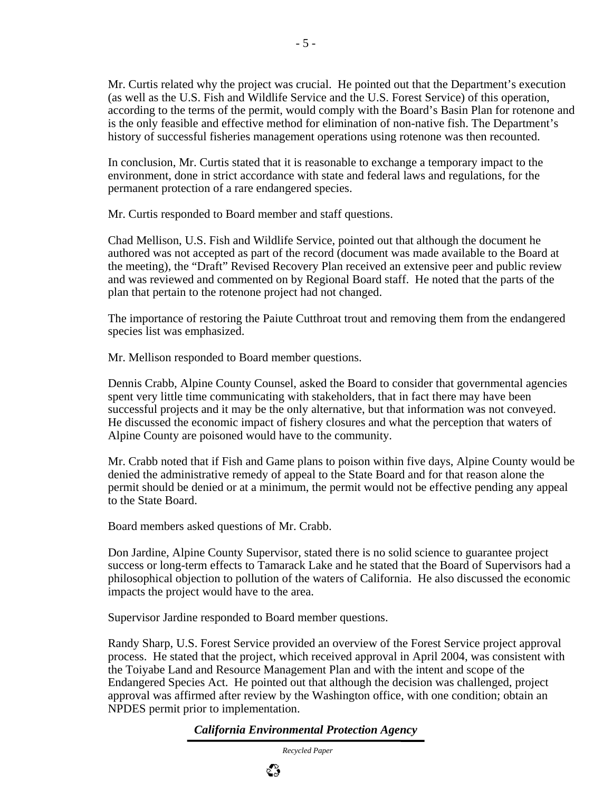Mr. Curtis related why the project was crucial. He pointed out that the Department's execution (as well as the U.S. Fish and Wildlife Service and the U.S. Forest Service) of this operation, according to the terms of the permit, would comply with the Board's Basin Plan for rotenone and is the only feasible and effective method for elimination of non-native fish. The Department's history of successful fisheries management operations using rotenone was then recounted.

In conclusion, Mr. Curtis stated that it is reasonable to exchange a temporary impact to the environment, done in strict accordance with state and federal laws and regulations, for the permanent protection of a rare endangered species.

Mr. Curtis responded to Board member and staff questions.

Chad Mellison, U.S. Fish and Wildlife Service, pointed out that although the document he authored was not accepted as part of the record (document was made available to the Board at the meeting), the "Draft" Revised Recovery Plan received an extensive peer and public review and was reviewed and commented on by Regional Board staff. He noted that the parts of the plan that pertain to the rotenone project had not changed.

The importance of restoring the Paiute Cutthroat trout and removing them from the endangered species list was emphasized.

Mr. Mellison responded to Board member questions.

Dennis Crabb, Alpine County Counsel, asked the Board to consider that governmental agencies spent very little time communicating with stakeholders, that in fact there may have been successful projects and it may be the only alternative, but that information was not conveyed. He discussed the economic impact of fishery closures and what the perception that waters of Alpine County are poisoned would have to the community.

Mr. Crabb noted that if Fish and Game plans to poison within five days, Alpine County would be denied the administrative remedy of appeal to the State Board and for that reason alone the permit should be denied or at a minimum, the permit would not be effective pending any appeal to the State Board.

Board members asked questions of Mr. Crabb.

Don Jardine, Alpine County Supervisor, stated there is no solid science to guarantee project success or long-term effects to Tamarack Lake and he stated that the Board of Supervisors had a philosophical objection to pollution of the waters of California. He also discussed the economic impacts the project would have to the area.

Supervisor Jardine responded to Board member questions.

Randy Sharp, U.S. Forest Service provided an overview of the Forest Service project approval process. He stated that the project, which received approval in April 2004, was consistent with the Toiyabe Land and Resource Management Plan and with the intent and scope of the Endangered Species Act. He pointed out that although the decision was challenged, project approval was affirmed after review by the Washington office, with one condition; obtain an NPDES permit prior to implementation.

*California Environmental Protection Agency*

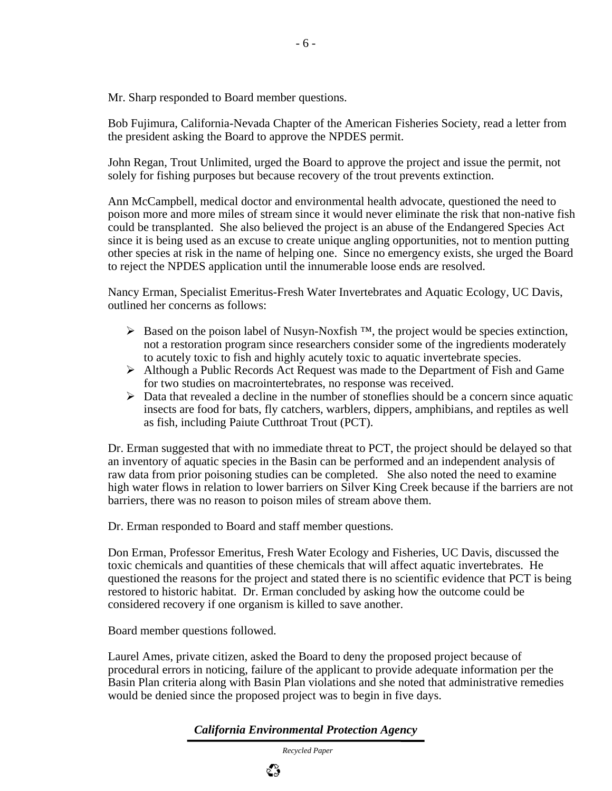Mr. Sharp responded to Board member questions.

Bob Fujimura, California-Nevada Chapter of the American Fisheries Society, read a letter from the president asking the Board to approve the NPDES permit.

John Regan, Trout Unlimited, urged the Board to approve the project and issue the permit, not solely for fishing purposes but because recovery of the trout prevents extinction.

Ann McCampbell, medical doctor and environmental health advocate, questioned the need to poison more and more miles of stream since it would never eliminate the risk that non-native fish could be transplanted. She also believed the project is an abuse of the Endangered Species Act since it is being used as an excuse to create unique angling opportunities, not to mention putting other species at risk in the name of helping one. Since no emergency exists, she urged the Board to reject the NPDES application until the innumerable loose ends are resolved.

Nancy Erman, Specialist Emeritus-Fresh Water Invertebrates and Aquatic Ecology, UC Davis, outlined her concerns as follows:

- Example 12 Based on the poison label of Nusyn-Noxfish  $^{TM}$ , the project would be species extinction, not a restoration program since researchers consider some of the ingredients moderately to acutely toxic to fish and highly acutely toxic to aquatic invertebrate species.
- $\triangleright$  Although a Public Records Act Request was made to the Department of Fish and Game for two studies on macrointertebrates, no response was received.
- $\triangleright$  Data that revealed a decline in the number of stoneflies should be a concern since aquatic insects are food for bats, fly catchers, warblers, dippers, amphibians, and reptiles as well as fish, including Paiute Cutthroat Trout (PCT).

Dr. Erman suggested that with no immediate threat to PCT, the project should be delayed so that an inventory of aquatic species in the Basin can be performed and an independent analysis of raw data from prior poisoning studies can be completed. She also noted the need to examine high water flows in relation to lower barriers on Silver King Creek because if the barriers are not barriers, there was no reason to poison miles of stream above them.

Dr. Erman responded to Board and staff member questions.

Don Erman, Professor Emeritus, Fresh Water Ecology and Fisheries, UC Davis, discussed the toxic chemicals and quantities of these chemicals that will affect aquatic invertebrates. He questioned the reasons for the project and stated there is no scientific evidence that PCT is being restored to historic habitat. Dr. Erman concluded by asking how the outcome could be considered recovery if one organism is killed to save another.

Board member questions followed.

Laurel Ames, private citizen, asked the Board to deny the proposed project because of procedural errors in noticing, failure of the applicant to provide adequate information per the Basin Plan criteria along with Basin Plan violations and she noted that administrative remedies would be denied since the proposed project was to begin in five days.

## *California Environmental Protection Agency*

 *Recycled Paper*

భి

- 6 -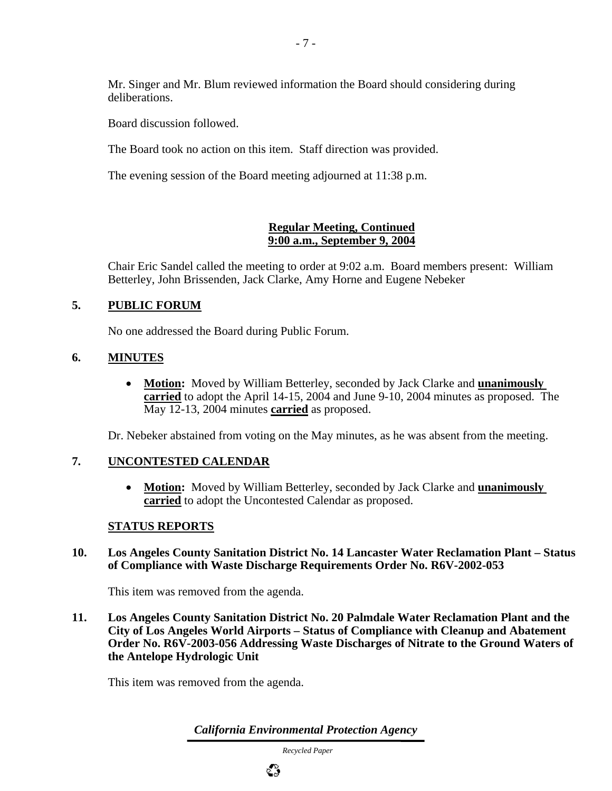Mr. Singer and Mr. Blum reviewed information the Board should considering during deliberations.

Board discussion followed.

The Board took no action on this item. Staff direction was provided.

The evening session of the Board meeting adjourned at 11:38 p.m.

#### **Regular Meeting, Continued 9:00 a.m., September 9, 2004**

Chair Eric Sandel called the meeting to order at 9:02 a.m. Board members present: William Betterley, John Brissenden, Jack Clarke, Amy Horne and Eugene Nebeker

## **5. PUBLIC FORUM**

No one addressed the Board during Public Forum.

## **6. MINUTES**

• **Motion:** Moved by William Betterley, seconded by Jack Clarke and **unanimously carried** to adopt the April 14-15, 2004 and June 9-10, 2004 minutes as proposed. The May 12-13, 2004 minutes **carried** as proposed.

Dr. Nebeker abstained from voting on the May minutes, as he was absent from the meeting.

## **7. UNCONTESTED CALENDAR**

• **Motion:** Moved by William Betterley, seconded by Jack Clarke and **unanimously carried** to adopt the Uncontested Calendar as proposed.

## **STATUS REPORTS**

## **10. Los Angeles County Sanitation District No. 14 Lancaster Water Reclamation Plant – Status of Compliance with Waste Discharge Requirements Order No. R6V-2002-053**

This item was removed from the agenda.

**11. Los Angeles County Sanitation District No. 20 Palmdale Water Reclamation Plant and the City of Los Angeles World Airports – Status of Compliance with Cleanup and Abatement Order No. R6V-2003-056 Addressing Waste Discharges of Nitrate to the Ground Waters of the Antelope Hydrologic Unit** 

This item was removed from the agenda.

*California Environmental Protection Agency*

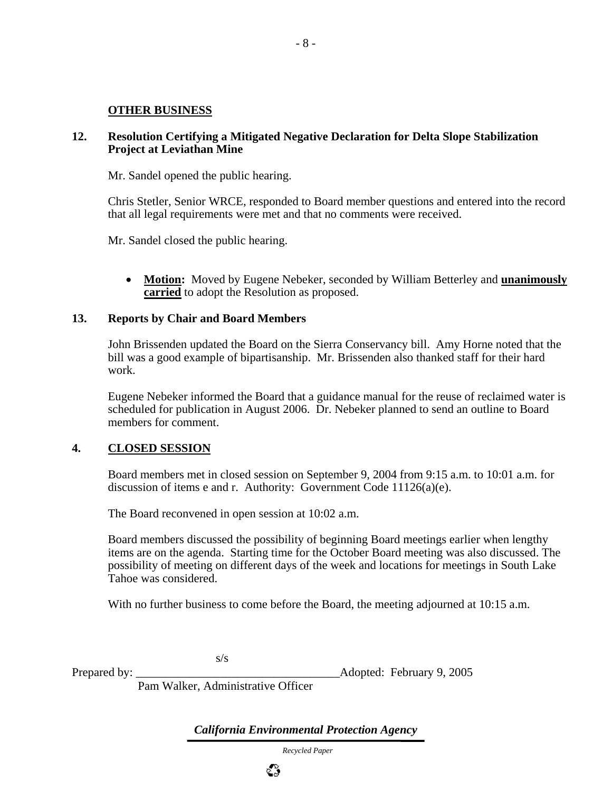#### **OTHER BUSINESS**

#### **12. Resolution Certifying a Mitigated Negative Declaration for Delta Slope Stabilization Project at Leviathan Mine**

Mr. Sandel opened the public hearing.

Chris Stetler, Senior WRCE, responded to Board member questions and entered into the record that all legal requirements were met and that no comments were received.

Mr. Sandel closed the public hearing.

• **Motion:** Moved by Eugene Nebeker, seconded by William Betterley and **unanimously carried** to adopt the Resolution as proposed.

#### **13. Reports by Chair and Board Members**

John Brissenden updated the Board on the Sierra Conservancy bill. Amy Horne noted that the bill was a good example of bipartisanship. Mr. Brissenden also thanked staff for their hard work.

Eugene Nebeker informed the Board that a guidance manual for the reuse of reclaimed water is scheduled for publication in August 2006. Dr. Nebeker planned to send an outline to Board members for comment.

#### **4. CLOSED SESSION**

Board members met in closed session on September 9, 2004 from 9:15 a.m. to 10:01 a.m. for discussion of items e and r. Authority: Government Code 11126(a)(e).

The Board reconvened in open session at 10:02 a.m.

Board members discussed the possibility of beginning Board meetings earlier when lengthy items are on the agenda. Starting time for the October Board meeting was also discussed. The possibility of meeting on different days of the week and locations for meetings in South Lake Tahoe was considered.

With no further business to come before the Board, the meeting adjourned at 10:15 a.m.

s/s

Prepared by: \_\_\_\_\_\_\_\_\_\_\_\_\_\_\_\_\_\_\_\_\_\_\_\_\_\_\_\_\_\_\_\_\_\_Adopted: February 9, 2005

Pam Walker, Administrative Officer

*California Environmental Protection Agency*

 *Recycled Paper*

ಭಿ